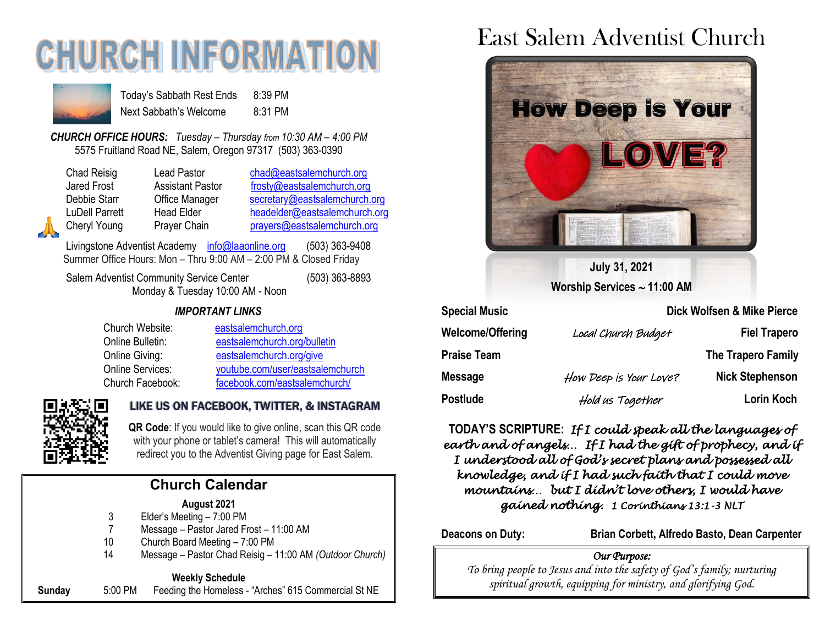# **CHURCH INFORMATIO**



Today's Sabbath Rest Ends 8:39 PM Next Sabbath's Welcome 8:31 PM

*CHURCH OFFICE HOURS: Tuesday – Thursday from 10:30 AM – 4:00 PM* 5575 Fruitland Road NE, Salem, Oregon 97317 (503) 363-0390

Chad Reisig Lead Pastor [chad@eastsalemchurch.org](mailto:chad@eastsalemchurch.org) Jared Frost **Assistant Pastor** [frosty@eastsalemchurch.org](mailto:frosty@eastsalemchurch.org) Debbie Starr **Office Manager** [secretary@eastsalemchurch.org](mailto:secretary@eastsalemchurch.org) LuDell Parrett Head Elder [headelder@eastsalemchurch.org](mailto:headelder@eastsalemchurch.org) Cheryl Young Prayer Chain [prayers@eastsalemchurch.org](mailto:prayers@eastsalemchurch.org)

Livingstone Adventist Academy [info@laaonline.org](mailto:info@laaonline.org) (503) 363-9408 Summer Office Hours: Mon – Thru 9:00 AM – 2:00 PM & Closed Friday

Salem Adventist Community Service Center (503) 363-8893 Monday & Tuesday 10:00 AM - Noon

#### *IMPORTANT LINKS*

Church Website: [eastsalemchurch.org](https://www.eastsalemchurch.org/)  Online Bulletin: [eastsalemchurch.org/bulletin](http://www.eastsalemchurch.org/bulletin) Online Giving: [eastsalemchurch.org/give](https://www.eastsalemchurch.org/give) Online Services: [youtube.com/user/eastsalemchurch](https://www.youtube.com/user/eastsalemchurch) Church Facebook: [facebook.com/eastsalemchurch/](https://www.facebook.com/eastsalemchurch/)



#### LIKE US ON FACEBOOK, TWITTER, & INSTAGRAM

**QR Code**: If you would like to give online, scan this QR code with your phone or tablet's camera! This will automatically redirect you to the Adventist Giving page for East Salem.

### **Church Calendar**

#### **August 2021**

- 3 Elder's Meeting 7:00 PM
- 7 Message Pastor Jared Frost 11:00 AM
- 10 Church Board Meeting 7:00 PM
- 14 Message Pastor Chad Reisig 11:00 AM *(Outdoor Church)*

#### **Weekly Schedule**

**Sunday** 5:00 PM Feeding the Homeless - "Arches" 615 Commercial St NE

## East Salem Adventist Church



**July 31, 2021 Worship Services 11:00 AM**

| <b>Special Music</b> | Dick Wolfsen & Mike Pierce |                        |
|----------------------|----------------------------|------------------------|
| Welcome/Offering     | Local Church Budget        | <b>Fiel Trapero</b>    |
| Praise Team          |                            | The Trapero Family     |
| <b>Message</b>       | How Deep is Your Love?     | <b>Nick Stephenson</b> |
| Postlude             | Hold us Together           | Lorin Koch             |

**TODAY'S SCRIPTURE:** *If I could speak all the languages of earth and of angels… If I had the gift of prophecy, and if I understood all of God's secret plans and possessed all knowledge, and if I had such faith that I could move mountains… but I didn't love others, I would have gained nothing. 1 Corinthians 13:1-3 NLT*

**Deacons on Duty: Brian Corbett, Alfredo Basto, Dean Carpenter**

#### *Our Purpose:*

*To bring people to Jesus and into the safety of God's family; nurturing spiritual growth, equipping for ministry, and glorifying God.*